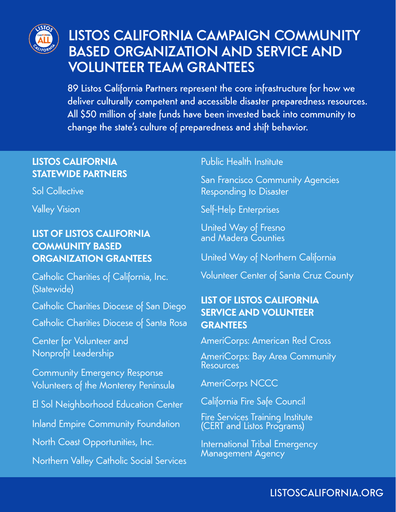

# LISTOS CALIFORNIA CAMPAIGN COMMUNITY BASED ORGANIZATION AND SERVICE AND VOLUNTEER TEAM GRANTEES

89 Listos California Partners represent the core infrastructure for how we deliver culturally competent and accessible disaster preparedness resources. All \$50 million of state funds have been invested back into community to change the state's culture of preparedness and shift behavior.

## **LISTOS CALIFORNIA STATEWIDE PARTNERS**

Sol Collective

Valley Vision

### **LIST OF LISTOS CALIFORNIA COMMUNITY BASED ORGANIZATION GRANTEES**

Catholic Charities of California, Inc. (Statewide)

Catholic Charities Diocese of San Diego

Catholic Charities Diocese of Santa Rosa

Center for Volunteer and Nonprofit Leadership

Community Emergency Response Volunteers of the Monterey Peninsula

El Sol Neighborhood Education Center

Inland Empire Community Foundation

North Coast Opportunities, Inc.

Northern Valley Catholic Social Services

#### Public Health Institute

San Francisco Community Agencies Responding to Disaster

Self-Help Enterprises

United Way of Fresno and Madera Counties

United Way of Northern California

Volunteer Center of Santa Cruz County

## **LIST OF LISTOS CALIFORNIA SERVICE AND VOLUNTEER GRANTEES**

AmeriCorps: American Red Cross

AmeriCorps: Bay Area Community **Resources** 

AmeriCorps NCCC

California Fire Safe Council

Fire Services Training Institute (CERT and Listos Programs)

International Tribal Emergency Management Agency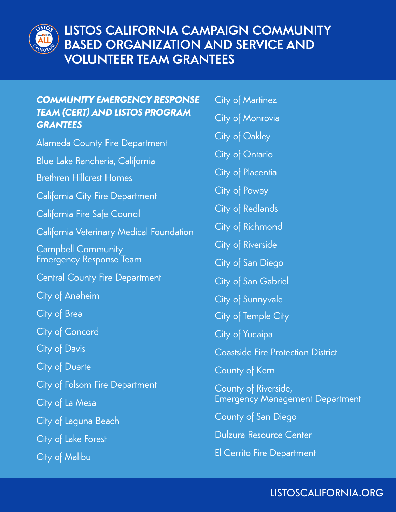

## *COMMUNITY EMERGENCY RESPONSE TEAM (CERT) AND LISTOS PROGRAM GRANTEES*

Alameda County Fire Department Blue Lake Rancheria, California Brethren Hillcrest Homes California City Fire Department California Fire Safe Council California Veterinary Medical Foundation Campbell Community Emergency Response Team Central County Fire Department City of Anaheim City of Brea City of Concord City of Davis City of Duarte City of Folsom Fire Department City of La Mesa City of Laguna Beach City of Lake Forest City of Malibu

- City of Martinez
- City of Monrovia
- City of Oakley
- City of Ontario
- City of Placentia
- City of Poway
- City of Redlands
- City of Richmond
- City of Riverside
- City of San Diego
- City of San Gabriel
- City of Sunnyvale
- City of Temple City
- City of Yucaipa
- Coastside Fire Protection District
- County of Kern
- County of Riverside, Emergency Management Department
- County of San Diego
- Dulzura Resource Center
- El Cerrito Fire Department